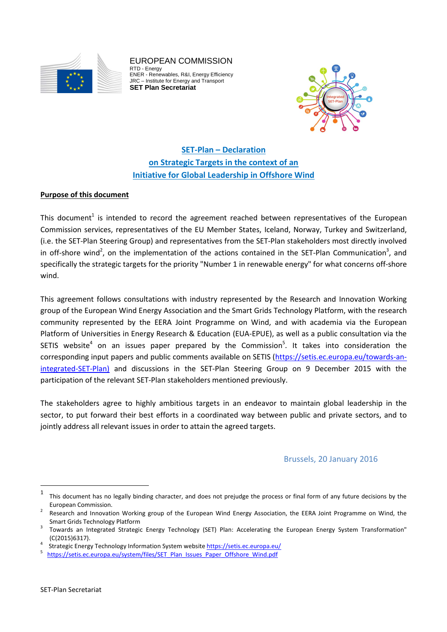

EUROPEAN COMMISSION RTD - Energy ENER - Renewables, R&I, Energy Efficiency JRC – Institute for Energy and Transport **SET Plan Secretariat** 



**SET-Plan – Declaration on Strategic Targets in the context of an Initiative for Global Leadership in Offshore Wind**

### **Purpose of this document**

This document<sup>1</sup> is intended to record the agreement reached between representatives of the European Commission services, representatives of the EU Member States, Iceland, Norway, Turkey and Switzerland, (i.e. the SET-Plan Steering Group) and representatives from the SET-Plan stakeholders most directly involved in off-shore wind<sup>2</sup>, on the implementation of the actions contained in the SET-Plan Communication<sup>3</sup>, and specifically the strategic targets for the priority "Number 1 in renewable energy" for what concerns off-shore wind.

This agreement follows consultations with industry represented by the Research and Innovation Working group of the European Wind Energy Association and the Smart Grids Technology Platform, with the research community represented by the EERA Joint Programme on Wind, and with academia via the European Platform of Universities in Energy Research & Education (EUA-EPUE), as well as a public consultation via the SETIS website<sup>4</sup> on an issues paper prepared by the Commission<sup>5</sup>. It takes into consideration the corresponding input papers and public comments available on SETIS (https://setis.ec.europa.eu/towards-anintegrated-SET-Plan) and discussions in the SET-Plan Steering Group on 9 December 2015 with the participation of the relevant SET-Plan stakeholders mentioned previously.

The stakeholders agree to highly ambitious targets in an endeavor to maintain global leadership in the sector, to put forward their best efforts in a coordinated way between public and private sectors, and to jointly address all relevant issues in order to attain the agreed targets.

# Brussels, 20 January 2016

 $\overline{a}$ 

<sup>1</sup> This document has no legally binding character, and does not prejudge the process or final form of any future decisions by the European Commission. 2

Research and Innovation Working group of the European Wind Energy Association, the EERA Joint Programme on Wind, the Smart Grids Technology Platform

Towards an Integrated Strategic Energy Technology (SET) Plan: Accelerating the European Energy System Transformation"  $(C(2015)6317).$ 

Strategic Energy Technology Information System website https://setis.ec.europa.eu/

https://setis.ec.europa.eu/system/files/SET\_Plan\_Issues\_Paper\_Offshore\_Wind.pdf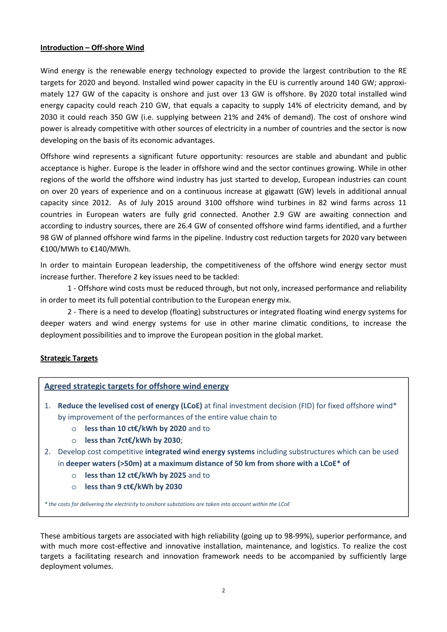### **Introduction – Off-shore Wind**

Wind energy is the renewable energy technology expected to provide the largest contribution to the RE targets for 2020 and beyond. Installed wind power capacity in the EU is currently around 140 GW; approximately 127 GW of the capacity is onshore and just over 13 GW is offshore. By 2020 total installed wind energy capacity could reach 210 GW, that equals a capacity to supply 14% of electricity demand, and by 2030 it could reach 350 GW (i.e. supplying between 21% and 24% of demand). The cost of onshore wind power is already competitive with other sources of electricity in a number of countries and the sector is now developing on the basis of its economic advantages.

Offshore wind represents a significant future opportunity: resources are stable and abundant and public acceptance is higher. Europe is the leader in offshore wind and the sector continues growing. While in other regions of the world the offshore wind industry has just started to develop, European industries can count on over 20 years of experience and on a continuous increase at gigawatt (GW) levels in additional annual capacity since 2012. As of July 2015 around 3100 offshore wind turbines in 82 wind farms across 11 countries in European waters are fully grid connected. Another 2.9 GW are awaiting connection and according to industry sources, there are 26.4 GW of consented offshore wind farms identified, and a further 98 GW of planned offshore wind farms in the pipeline. Industry cost reduction targets for 2020 vary between €100/MWh to €140/MWh.

In order to maintain European leadership, the competitiveness of the offshore wind energy sector must increase further. Therefore 2 key issues need to be tackled:

1 - Offshore wind costs must be reduced through, but not only, increased performance and reliability in order to meet its full potential contribution to the European energy mix.

 2 - There is a need to develop (floating) substructures or integrated floating wind energy systems for deeper waters and wind energy systems for use in other marine climatic conditions, to increase the deployment possibilities and to improve the European position in the global market.

# **Strategic Targets**

# **Agreed strategic targets for offshore wind energy**

- 1. **Reduce the levelised cost of energy (LCoE)** at final investment decision (FID) for fixed offshore wind\* by improvement of the performances of the entire value chain to
	- o **less than 10 ct€/kWh by 2020** and to
	- o **less than 7ct€/kWh by 2030**;
- 2. Develop cost competitive **integrated wind energy systems** including substructures which can be used in **deeper waters (>50m) at a maximum distance of 50 km from shore with a LCoE\* of**
	- o **less than 12 ct€/kWh by 2025** and to
	- o **less than 9 ct€/kWh by 2030**

*\* the costs for delivering the electricity to onshore substations are taken into account within the LCoE*

These ambitious targets are associated with high reliability (going up to 98-99%), superior performance, and with much more cost-effective and innovative installation, maintenance, and logistics. To realize the cost targets a facilitating research and innovation framework needs to be accompanied by sufficiently large deployment volumes.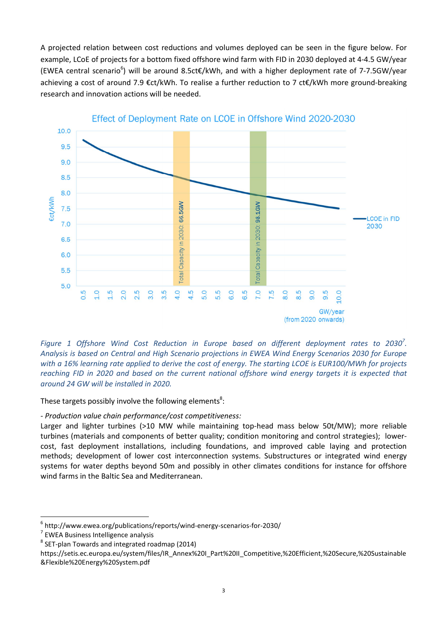A projected relation between cost reductions and volumes deployed can be seen in the figure below. For example, LCoE of projects for a bottom fixed offshore wind farm with FID in 2030 deployed at 4-4.5 GW/year (EWEA central scenario<sup>6</sup>) will be around 8.5ct€/kWh, and with a higher deployment rate of 7-7.5GW/year achieving a cost of around 7.9 €ct/kWh. To realise a further reduction to 7 ct€/kWh more ground-breaking research and innovation actions will be needed.



Figure 1 Offshore Wind Cost Reduction in Europe based on different deployment rates to 2030<sup>7</sup>. *Analysis is based on Central and High Scenario projections in EWEA Wind Energy Scenarios 2030 for Europe with a 16% learning rate applied to derive the cost of energy. The starting LCOE is EUR100/MWh for projects reaching FID in 2020 and based on the current national offshore wind energy targets it is expected that around 24 GW will be installed in 2020.*

These targets possibly involve the following elements<sup>8</sup>:

*- Production value chain performance/cost competitiveness:* 

Larger and lighter turbines (>10 MW while maintaining top-head mass below 50t/MW); more reliable turbines (materials and components of better quality; condition monitoring and control strategies); lowercost, fast deployment installations, including foundations, and improved cable laying and protection methods; development of lower cost interconnection systems. Substructures or integrated wind energy systems for water depths beyond 50m and possibly in other climates conditions for instance for offshore wind farms in the Baltic Sea and Mediterranean.

 $\overline{a}$ 6 http://www.ewea.org/publications/reports/wind-energy-scenarios-for-2030/

<sup>&</sup>lt;sup>7</sup> EWEA Business Intelligence analysis

 $^8$  SET-plan Towards and integrated roadmap (2014)

https://setis.ec.europa.eu/system/files/IR\_Annex%20I\_Part%20II\_Competitive,%20Efficient,%20Secure,%20Sustainable &Flexible%20Energy%20System.pdf